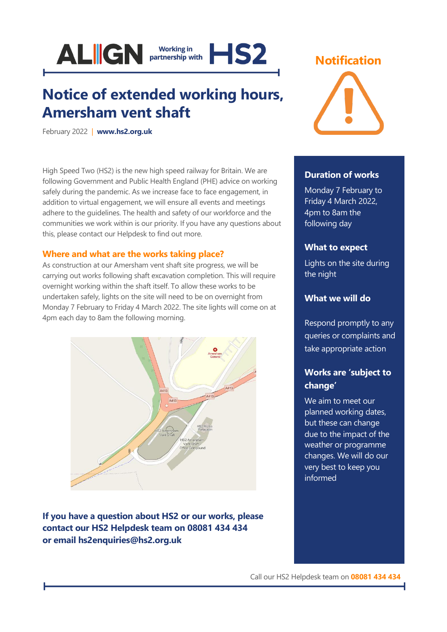

# **Notice of extended working hours, Amersham vent shaft**

February 2022 | **[www.hs2.org.uk](http://www.hs2.org.uk/)**

High Speed Two (HS2) is the new high speed railway for Britain. We are following Government and Public Health England (PHE) advice on working safely during the pandemic. As we increase face to face engagement, in addition to virtual engagement, we will ensure all events and meetings adhere to the guidelines. The health and safety of our workforce and the communities we work within is our priority. If you have any questions about this, please contact our Helpdesk to find out more.

### **Where and what are the works taking place?**

As construction at our Amersham vent shaft site progress, we will be carrying out works following shaft excavation completion. This will require overnight working within the shaft itself. To allow these works to be undertaken safely, lights on the site will need to be on overnight from Monday 7 February to Friday 4 March 2022. The site lights will come on at 4pm each day to 8am the following morning.



**If you have a question about HS2 or our works, please contact our HS2 Helpdesk team on 08081 434 434 or email hs2enquiries@hs2.org.uk**

# **Notification**



### **Duration of works**

Monday 7 February to Friday 4 March 2022, 4pm to 8am the following day

### **What to expect**

Lights on the site during the night

### **What we will do**

Respond promptly to any queries or complaints and take appropriate action

### **Works are 'subject to change'**

We aim to meet our planned working dates, but these can change due to the impact of the weather or programme changes. We will do our very best to keep you informed